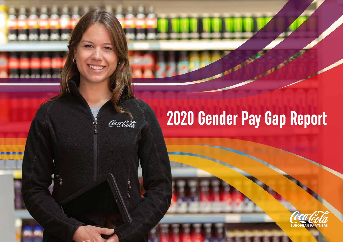# **2020 Gender Pay Gap Report**

Coca Cola

Î.

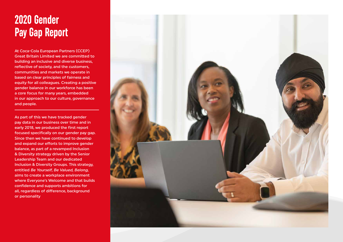### **2020 Gender Pay Gap Report**

At Coca-Cola European Partners (CCEP) Great Britain Limited we are committed to building an inclusive and diverse business, reflective of society, and the customers, communities and markets we operate in based on clear principles of fairness and equity for all colleagues. Creating a positive gender balance in our workforce has been a core focus for many years, embedded in our approach to our culture, governance and people.

As part of this we have tracked gender pay data in our business over time and in early 2018, we produced the first report focused specifically on our gender pay gap. Since then we have continued to develop and expand our efforts to improve gender balance, as part of a revamped Inclusion & Diversity strategy driven by the Senior Leadership Team and our dedicated Inclusion & Diversity Groups. This strategy, entitled Be Yourself, Be Valued, Belong, aims to create a workplace environment where Everyone's Welcome and that builds confidence and supports ambitions for all, regardless of difference, background or personality

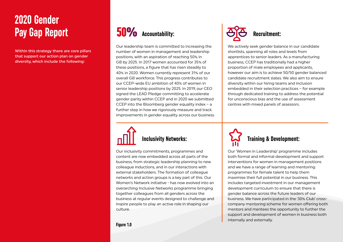### **2020 Gender Pay Gap Report**

Within this strategy there are core pillars that support our action plan on gender diversity, which include the following:

## 50% **Accountability:**

Our leadership team is committed to increasing the number of women in management and leadership positions, with an aspiration of reaching 50% in GB by 2025. In 2017 women accounted for 35% of these positions, a figure that has risen steadily to 40% in 2020. Women currently represent 31% of our overall GB workforce. This progress contributes to our CCEP-wide EU ambition of 40% of women in senior leadership positions by 2025. In 2019, our CEO signed the LEAD Pledge committing to accelerate gender parity within CCEP and in 2020 we submitted CCEP into the Bloomberg gender equality index – a further step in how we rigorously measure and track improvements in gender equality across our business.



Our inclusivity commitments, programmes and content are now embedded across all parts of the business, from strategic leadership planning to new colleague inductions, and in our interactions with external stakeholders. The formation of colleague networks and action groups is a key part of this. Our Women's Network initiative - has now evolved into an overarching Inclusive Networks programme bringing together colleagues from all genders across the business at regular events designed to challenge and inspire people to play an active role in shaping our culture.



We actively seek gender balance in our candidate shortlists, spanning all roles and levels from apprentices to senior leaders. As a manufacturing business, CCEP has traditionally had a higher proportion of male employees and applicants, however our aim is to achieve 50/50 gender balanced candidate recruitment slates. We also aim to ensure diversity within our hiring teams and inclusion embedded in their selection practices – for example through dedicated training to address the potential for unconscious bias and the use of assessment centres with mixed panels of assessors.



Our 'Women in Leadership' programme includes both formal and informal development and support interventions for women in management positions and we have a range of learning and mentoring programmes for female talent to help them maximise their full potential in our business. This includes targeted investment in our management development curriculum to ensure that there is gender balance across the future leaders of our business. We have participated in the '30% Club' crosscompany mentoring scheme for women offering both mentors and mentees the opportunity to further the support and development of women in business both internally and externally.

**Figure 1.0**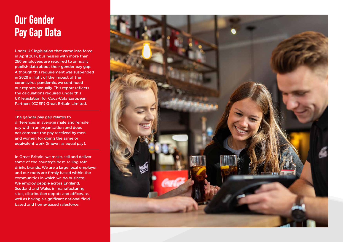### **Our Gender Pay Gap Data**

Under UK legislation that came into force in April 2017, businesses with more than 250 employees are required to annually publish data about their gender pay gap. Although this requirement was suspended in 2020 in light of the impact of the coronavirus pandemic, we continued our reports annually. This report reflects the calculations required under this UK legislation for Coca-Cola European Partners (CCEP) Great Britain Limited.

The gender pay gap relates to differences in average male and female pay within an organisation and does not compare the pay received by men and women for doing the same or equivalent work (known as equal pay).

In Great Britain, we make, sell and deliver some of the country's best-selling soft drinks brands. We are a large local employer and our roots are firmly based within the communities in which we do business. We employ people across England, Scotland and Wales in manufacturing sites, distribution depots and offices, as well as having a significant national fieldbased and home-based salesforce.

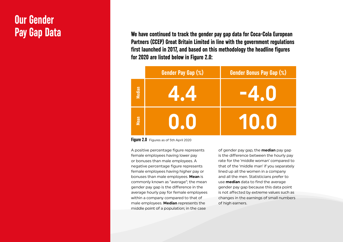### **Our Gender Pay Gap Data**

**We have continued to track the gender pay gap data for Coca-Cola European Partners (CCEP) Great Britain Limited in line with the government regulations first launched in 2017, and based on this methodology the headline figures for 2020 are listed below in Figure 2.0:** 



**Figure 2.0** Figures as of 5th April 2020

A positive percentage figure represents female employees having lower pay or bonuses than male employees. A negative percentage figure represents female employees having higher pay or bonuses than male employees. **Mean** is commonly known as "average"; the mean gender pay gap is the difference in the average hourly pay for female employees within a company compared to that of male employees. **Median** represents the middle point of a population; in the case

of gender pay gap, the **median** pay gap is the difference between the hourly pay rate for the 'middle woman' compared to that of the 'middle man' if you separately lined up all the women in a company and all the men. Statisticians prefer to use **median** data to find the average gender pay gap because this data point is not affected by extreme values such as changes in the earnings of small numbers of high earners.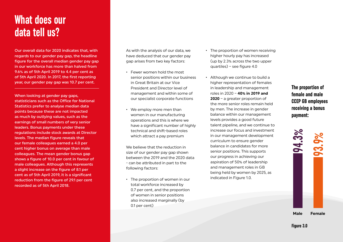#### **What does our data tell us?**

Our overall data for 2020 indicates that, with regards to our gender pay gap, the headline figure for the overall median gender pay gap in our workforce has more than halved from 9.6% as of 5th April 2019 to 4.4 per cent as of 5th April 2020. In 2017, the first reporting year, our gender pay gap was 10.7 per cent.

When looking at gender pay gaps, statisticians such as the Office for National Statistics prefer to analyse median data points because these are not impacted as much by outlying values, such as the earnings of small numbers of very senior leaders. Bonus payments under these regulations include stock awards at Director levels. The median figure reveals that our female colleagues earned a 4.0 per cent higher bonus on average than male colleagues. The mean gender bonus gap shows a figure of 10.0 per cent in favour of male colleagues. Although this represents a slight increase on the figure of 8.1 per cent as of 5th April 2019, it is a significant reduction from the figure of 29.1 per cent recorded as of 5th April 2018.

As with the analysis of our data, we have deduced that our gender pay gap arises from two key factors:

- Fewer women hold the most senior positions within our business in Great Britain at our Vice President and Director level of management and within some of our specialist corporate functions
- We employ more men than women in our manufacturing operations and this is where we have a significant number of highly technical and shift-based roles which attract a pay premium

We believe that the reduction in size of our gender pay gap shown between the 2019 and the 2020 data - can be attributed in part to the following factors:

• The proportion of women in our total workforce increased by 0.7 per cent, and the proportion of women in senior positions also increased marginally (by 0.1 per cent)

- The proportion of women receiving higher hourly pay has increased (up by 2.3% across the two upper quartiles) – see figure 4.0
- Although we continue to build a higher representation of females in leadership and management roles in 2020 – **40% in 2019 and 2020** – a greater proportion of the more senior roles remain held by men. The increase in gender balance within our management levels provides a good future talent pipeline, and we continue to increase our focus and investment in our management development curriculum to ensure gender balance in candidates for more senior positions. This supports our progress in achieving our aspiration of 50% of leadership and management roles in GB being held by women by 2025, as indicated in Figure 1.0.

**The proportion of female and male CCEP GB employees receiving a bonus payment:**

**93.9%**



**94.3%**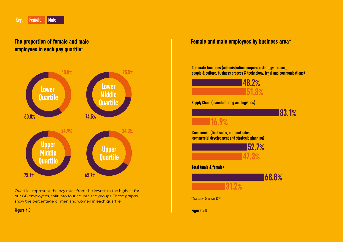**The proportion of female and male employees in each pay quartile:**



Quartiles represent the pay rates from the lowest to the highest for our GB employees, split into four equal sized groups. These graphs show the percentage of men and women in each quartile.

#### **Female and male employees by business area\***

**Corporate functions (administration, corporate strategy, finance, people & culture, business process & technology, legal and communications)**



**Figure 4.0 Figure 5.0**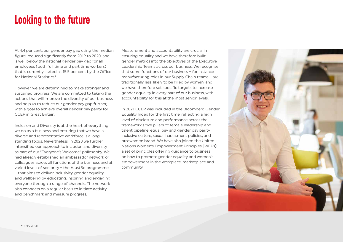#### **Looking to the future**

At 4.4 per cent, our gender pay gap using the median figure, reduced significantly from 2019 to 2020, and is well below the national gender pay gap for all employees (both full time and part time workers) that is currently stated as 15.5 per cent by the Office for National Statistics\*.

However, we are determined to make stronger and sustained progress. We are committed to taking the actions that will improve the diversity of our business and help us to reduce our gender pay gap further, with a goal to achieve overall gender pay parity for CCEP in Great Britain.

Inclusion and Diversity is at the heart of everything we do as a business and ensuring that we have a diverse and representative workforce is a longstanding focus. Nevertheless, in 2020 we further intensified our approach to inclusion and diversity as part of our "Everyone's Welcome" philosophy. We had already established an ambassador network of colleagues across all functions of the business and at varied levels of seniority – the #JustBe programme – that aims to deliver inclusivity, gender equality and wellbeing by educating, inspiring and engaging everyone through a range of channels. The network also connects on a regular basis to initiate activity and benchmark and measure progress.

Measurement and accountability are crucial in ensuring equality and we have therefore built gender metrics into the objectives of the Executive Leadership Teams across our business. We recognise that some functions of our business – for instance manufacturing roles in our Supply Chain teams – are traditionally less-likely to be filled by women, and we have therefore set specific targets to increase gender equality in every part of our business, with accountability for this at the most senior levels.

In 2021 CCEP was included in the Bloomberg Gender Equality Index for the first time, reflecting a high level of disclosure and performance across the framework's five pillars of female leadership and talent pipeline, equal pay and gender pay parity, inclusive culture, sexual harassment policies, and pro-women brand. We have also joined the United Nations Women's Empowerment Principles (WEPs), a set of principles offering guidance to business on how to promote gender equality and women's empowerment in the workplace, marketplace and community.